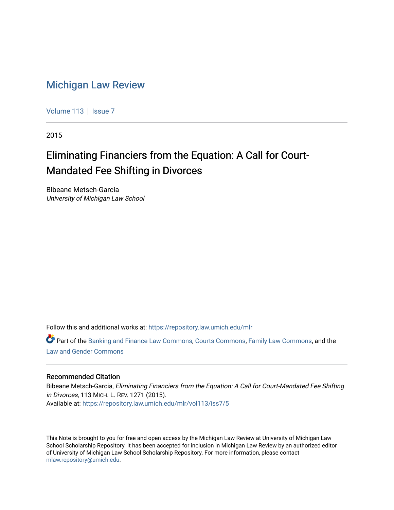# [Michigan Law Review](https://repository.law.umich.edu/mlr)

[Volume 113](https://repository.law.umich.edu/mlr/vol113) | [Issue 7](https://repository.law.umich.edu/mlr/vol113/iss7)

2015

# Eliminating Financiers from the Equation: A Call for Court-Mandated Fee Shifting in Divorces

Bibeane Metsch-Garcia University of Michigan Law School

Follow this and additional works at: [https://repository.law.umich.edu/mlr](https://repository.law.umich.edu/mlr?utm_source=repository.law.umich.edu%2Fmlr%2Fvol113%2Fiss7%2F5&utm_medium=PDF&utm_campaign=PDFCoverPages) 

Part of the [Banking and Finance Law Commons,](http://network.bepress.com/hgg/discipline/833?utm_source=repository.law.umich.edu%2Fmlr%2Fvol113%2Fiss7%2F5&utm_medium=PDF&utm_campaign=PDFCoverPages) [Courts Commons,](http://network.bepress.com/hgg/discipline/839?utm_source=repository.law.umich.edu%2Fmlr%2Fvol113%2Fiss7%2F5&utm_medium=PDF&utm_campaign=PDFCoverPages) [Family Law Commons,](http://network.bepress.com/hgg/discipline/602?utm_source=repository.law.umich.edu%2Fmlr%2Fvol113%2Fiss7%2F5&utm_medium=PDF&utm_campaign=PDFCoverPages) and the [Law and Gender Commons](http://network.bepress.com/hgg/discipline/1298?utm_source=repository.law.umich.edu%2Fmlr%2Fvol113%2Fiss7%2F5&utm_medium=PDF&utm_campaign=PDFCoverPages)

# Recommended Citation

Bibeane Metsch-Garcia, Eliminating Financiers from the Equation: A Call for Court-Mandated Fee Shifting in Divorces, 113 MICH. L. REV. 1271 (2015). Available at: [https://repository.law.umich.edu/mlr/vol113/iss7/5](https://repository.law.umich.edu/mlr/vol113/iss7/5?utm_source=repository.law.umich.edu%2Fmlr%2Fvol113%2Fiss7%2F5&utm_medium=PDF&utm_campaign=PDFCoverPages) 

This Note is brought to you for free and open access by the Michigan Law Review at University of Michigan Law School Scholarship Repository. It has been accepted for inclusion in Michigan Law Review by an authorized editor of University of Michigan Law School Scholarship Repository. For more information, please contact [mlaw.repository@umich.edu.](mailto:mlaw.repository@umich.edu)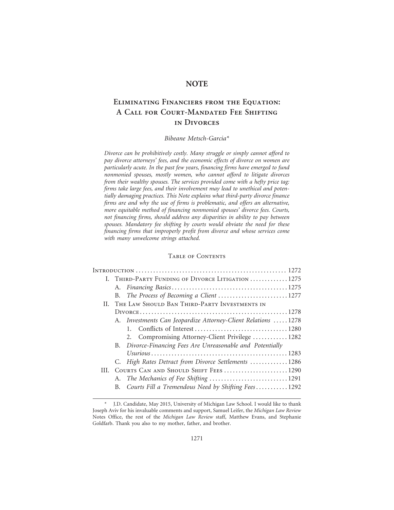# **NOTE**

# **Eliminating Financiers from the Equation: A Call for Court-Mandated Fee Shifting in Divorces**

# *Bibeane Metsch-Garcia\**

*Divorce can be prohibitively costly. Many struggle or simply cannot afford to pay divorce attorneys' fees, and the economic effects of divorce on women are particularly acute. In the past few years, financing firms have emerged to fund nonmonied spouses, mostly women, who cannot afford to litigate divorces from their wealthy spouses. The services provided come with a hefty price tag: firms take large fees, and their involvement may lead to unethical and potentially damaging practices. This Note explains what third-party divorce finance firms are and why the use of firms is problematic, and offers an alternative, more equitable method of financing nonmonied spouses' divorce fees. Courts, not financing firms, should address any disparities in ability to pay between spouses. Mandatory fee shifting by courts would obviate the need for these financing firms that improperly profit from divorce and whose services come with many unwelcome strings attached.*

#### Table of Contents

|                                                   |  | I. THIRD-PARTY FUNDING OF DIVORCE LITIGATION 1275            |
|---------------------------------------------------|--|--------------------------------------------------------------|
|                                                   |  |                                                              |
|                                                   |  | B. The Process of Becoming a Client 1277                     |
| II. THE LAW SHOULD BAN THIRD-PARTY INVESTMENTS IN |  |                                                              |
|                                                   |  |                                                              |
|                                                   |  | A. Investments Can Jeopardize Attorney-Client Relations 1278 |
|                                                   |  |                                                              |
|                                                   |  | 2. Compromising Attorney-Client Privilege  1282              |
|                                                   |  | B. Divorce-Financing Fees Are Unreasonable and Potentially   |
|                                                   |  |                                                              |
|                                                   |  | C. High Rates Detract from Divorce Settlements 1286          |
|                                                   |  | III. COURTS CAN AND SHOULD SHIFT FEES1290                    |
|                                                   |  |                                                              |
|                                                   |  | B. Courts Fill a Tremendous Need by Shifting Fees1292        |
|                                                   |  |                                                              |

<sup>\*</sup> J.D. Candidate, May 2015, University of Michigan Law School. I would like to thank Joseph Aviv for his invaluable comments and support, Samuel Leifer, the *Michigan Law Review* Notes Office, the rest of the *Michigan Law Review* staff, Matthew Evans, and Stephanie Goldfarb. Thank you also to my mother, father, and brother.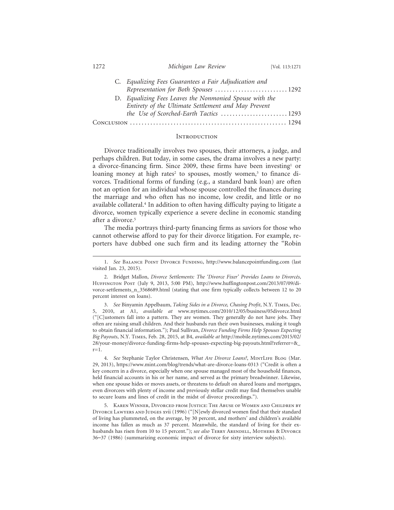| C. Equalizing Fees Guarantees a Fair Adjudication and   |  |
|---------------------------------------------------------|--|
| Representation for Both Spouses  1292                   |  |
| D. Equalizing Fees Leaves the Nonmonied Spouse with the |  |
| Entirety of the Ultimate Settlement and May Prevent     |  |
| the Use of Scorched-Earth Tactics 1293                  |  |
|                                                         |  |

#### **INTRODUCTION**

Divorce traditionally involves two spouses, their attorneys, a judge, and perhaps children. But today, in some cases, the drama involves a new party: a divorce-financing firm. Since 2009, these firms have been investing<sup>1</sup> or loaning money at high rates<sup>2</sup> to spouses, mostly women,<sup>3</sup> to finance divorces. Traditional forms of funding (e.g., a standard bank loan) are often not an option for an individual whose spouse controlled the finances during the marriage and who often has no income, low credit, and little or no available collateral.4 In addition to often having difficulty paying to litigate a divorce, women typically experience a severe decline in economic standing after a divorce.<sup>5</sup>

The media portrays third-party financing firms as saviors for those who cannot otherwise afford to pay for their divorce litigation. For example, reporters have dubbed one such firm and its leading attorney the "Robin

1272 *Michigan Law Review* [Vol. 113:1271

<sup>1.</sup> *See* Balance Point Divorce Funding, http://www.balancepointfunding.com (last visited Jan. 23, 2015).

<sup>2.</sup> Bridget Mallon, *Divorce Settlements: The 'Divorce Fixer' Provides Loans to Divorcés*, Huffington Post (July 9, 2013, 5:00 PM), http://www.huffingtonpost.com/2013/07/09/divorce-settlements\_n\_3568689.html (stating that one firm typically collects between 12 to 20 percent interest on loans).

<sup>3.</sup> *See* Binyamin Appelbaum, *Taking Sides in a Divorce, Chasing Profit*, N.Y. Times, Dec. 5, 2010, at A1, *available at* www.nytimes.com/2010/12/05/business/05divorce.html ("[C]ustomers fall into a pattern. They are women. They generally do not have jobs. They often are raising small children. And their husbands run their own businesses, making it tough to obtain financial information."); Paul Sullivan, *Divorce Funding Firms Help Spouses Expecting Big Payouts*, N.Y. Times, Feb. 28, 2015, at B4, *available at* http://mobile.nytimes.com/2015/02/ 28/your-money/divorce-funding-firms-help-spouses-expecting-big-payouts.html?referrer=&\_  $r=1$ .

<sup>4.</sup> *See* Stephanie Taylor Christensen, *What Are Divorce Loans?*, MintLife Blog (Mar. 29, 2013), https://www.mint.com/blog/trends/what-are-divorce-loans-0313 ("Credit is often a key concern in a divorce, especially when one spouse managed most of the household finances, held financial accounts in his or her name, and served as the primary breadwinner. Likewise, when one spouse hides or moves assets, or threatens to default on shared loans and mortgages, even divorcees with plenty of income and previously stellar credit may find themselves unable to secure loans and lines of credit in the midst of divorce proceedings.").

<sup>5.</sup> Karen Winner, Divorced from Justice: The Abuse of Women and Children by DIVORCE LAWYERS AND JUDGES XVII (1996) ("[N]ewly divorced women find that their standard of living has plummeted, on the average, by 30 percent, and mothers' and children's available income has fallen as much as 37 percent. Meanwhile, the standard of living for their exhusbands has risen from 10 to 15 percent."); *see also* TERRY ARENDELL, MOTHERS & DIVORCE 36–37 (1986) (summarizing economic impact of divorce for sixty interview subjects).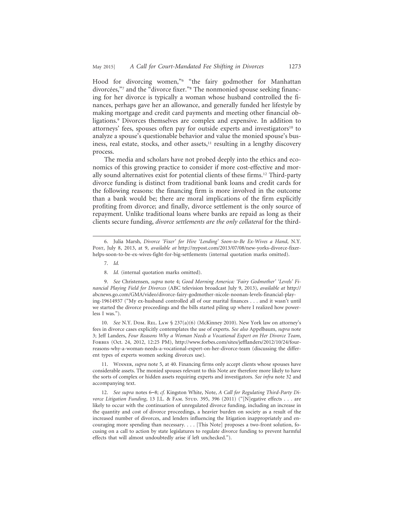Hood for divorcing women,"6 "the fairy godmother for Manhattan divorcées,"7 and the "divorce fixer."<sup>8</sup> The nonmonied spouse seeking financing for her divorce is typically a woman whose husband controlled the finances, perhaps gave her an allowance, and generally funded her lifestyle by making mortgage and credit card payments and meeting other financial obligations.9 Divorces themselves are complex and expensive. In addition to attorneys' fees, spouses often pay for outside experts and investigators<sup>10</sup> to analyze a spouse's questionable behavior and value the monied spouse's business, real estate, stocks, and other assets, $11$  resulting in a lengthy discovery process.

The media and scholars have not probed deeply into the ethics and economics of this growing practice to consider if more cost-effective and morally sound alternatives exist for potential clients of these firms.12 Third-party divorce funding is distinct from traditional bank loans and credit cards for the following reasons: the financing firm is more involved in the outcome than a bank would be; there are moral implications of the firm explicitly profiting from divorce; and finally, divorce settlement is the only source of repayment. Unlike traditional loans where banks are repaid as long as their clients secure funding, *divorce settlements are the only collateral* for the third-

7. *Id.*

8. *Id.* (internal quotation marks omitted).

9. *See* Christensen, *supra* note 4; *Good Morning America: 'Fairy Godmother' 'Levels' Financial Playing Field for Divorces* (ABC television broadcast July 9, 2013), *available at* http:// abcnews.go.com/GMA/video/divorce-fairy-godmother-nicole-noonan-levels-financial-playing-19614937 ("My ex-husband controlled all of our marital finances . . . and it wasn't until we started the divorce proceedings and the bills started piling up where I realized how powerless I was.").

10. *See* N.Y. Dom. Rel. Law § 237(a)(6) (McKinney 2010). New York law on attorney's fees in divorce cases explicitly contemplates the use of experts. *See also* Appelbaum, *supra* note 3; Jeff Landers, *Four Reasons Why a Woman Needs a Vocational Expert on Her Divorce Team*, Forbes (Oct. 24, 2012, 12:25 PM), http://www.forbes.com/sites/jefflanders/2012/10/24/fourreasons-why-a-woman-needs-a-vocational-expert-on-her-divorce-team (discussing the different types of experts women seeking divorces use).

11. Winner, *supra* note 5, at 40. Financing firms only accept clients whose spouses have considerable assets. The monied spouses relevant to this Note are therefore more likely to have the sorts of complex or hidden assets requiring experts and investigators. *See infra* note 32 and accompanying text.

12. *See supra* notes 6–8; *cf.* Kingston White, Note, *A Call for Regulating Third-Party Divorce Litigation Funding*, 13 J.L. & FAM. STUD. 395, 396 (2011) ("[N]egative effects . . . are likely to occur with the continuation of unregulated divorce funding, including an increase in the quantity and cost of divorce proceedings, a heavier burden on society as a result of the increased number of divorces, and lenders influencing the litigation inappropriately and encouraging more spending than necessary. . . . [This Note] proposes a two-front solution, focusing on a call to action by state legislatures to regulate divorce funding to prevent harmful effects that will almost undoubtedly arise if left unchecked.").

<sup>6.</sup> Julia Marsh, *Divorce 'Fixer' for Hire 'Lending' Soon-to-Be Ex-Wives a Hand*, N.Y. Post, July 8, 2013, at 9, *available at* http://nypost.com/2013/07/08/new-yorks-divorce-fixerhelps-soon-to-be-ex-wives-fight-for-big-settlements (internal quotation marks omitted).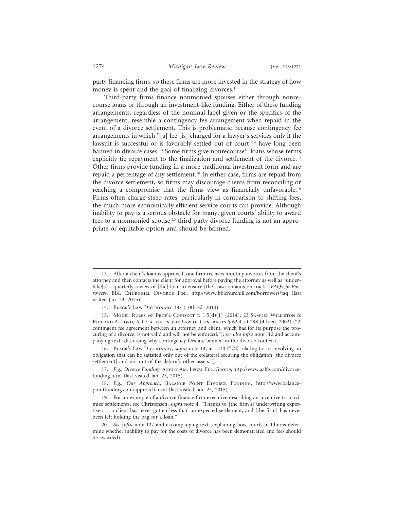party financing firms, so these firms are more invested in the strategy of how money is spent and the goal of finalizing divorces.<sup>13</sup>

Third-party firms finance nonmonied spouses either through nonrecourse loans or through an investment-like funding. Either of these funding arrangements, regardless of the nominal label given or the specifics of the arrangement, resemble a contingency fee arrangement when repaid in the event of a divorce settlement. This is problematic because contingency fee arrangements in which "[a] fee [is] charged for a lawyer's services only if the lawsuit is successful or is favorably settled out of court"<sup>14</sup> have long been banned in divorce cases.<sup>15</sup> Some firms give nonrecourse<sup>16</sup> loans whose terms explicitly tie repayment to the finalization and settlement of the divorce.<sup>17</sup> Other firms provide funding in a more traditional investment form and are repaid a percentage of any settlement.18 In either case, firms are repaid from the divorce settlement, so firms may discourage clients from reconciling or reaching a compromise that the firms view as financially unfavorable.19 Firms often charge steep rates, particularly in comparison to shifting fees, the much more economically efficient service courts can provide. Although inability to pay is a serious obstacle for many, given courts' ability to award fees to a nonmonied spouse,<sup>20</sup> third-party divorce funding is not an appropriate or equitable option and should be banned.

16. Black's Law Dictionary, *supra* note 14, at 1220 ("Of, relating to, or involving an obligation that can be satisfied only out of the collateral securing the obligation [the divorce settlement] and not out of the debtor's other assets.").

17. E.g., Divorce Funding, ANGLO-AM. LEGAL FIN. GROUP, http://www.aalfg.com/divorcefunding.html (last visited Jan. 23, 2015).

18. *E.g.*, *Our Approach*, Balance Point Divorce Funding, http://www.balancepointfunding.com/approach.html (last visited Jan. 23, 2015).

19. For an example of a divorce finance firm executive describing an incentive to maximize settlements, see Christensen, *supra* note 4: "Thanks to [the firm's] underwriting expertise . . . a client has never gotten less than an expected settlement, and [the firm] has never been left holding the bag for a loan."

<sup>13.</sup> After a client's loan is approved, one firm receives monthly invoices from the client's attorney and then contacts the client for approval before paying the attorney as well as "undertake[s] a quarterly review of [the] loan to ensure [the] case remains on track." *FAQs for Borrowers*, BBL Churchill Divorce Fin., http://www.bblchurchill.com/borrowers/faq (last visited Jan. 23, 2015).

<sup>14.</sup> Black's Law Dictionary 387 (10th ed. 2014).

<sup>15.</sup> Model Rules of Prof'l Conduct r. 1.5(d)(1) (2014); 23 Samuel Williston & Richard A. Lord, A Treatise on the Law of Contracts § 62:4, at 298 (4th ed. 2002) ("A contingent fee agreement between an attorney and client, which has for its purpose the procuring of a divorce, is not valid and will not be enforced."); *see also infra* note 112 and accompanying text (discussing why contingency fees are banned in the divorce context).

<sup>20.</sup> *See infra* note 127 and accompanying text (explaining how courts in Illinois determine whether inability to pay for the costs of divorce has been demonstrated and fees should be awarded).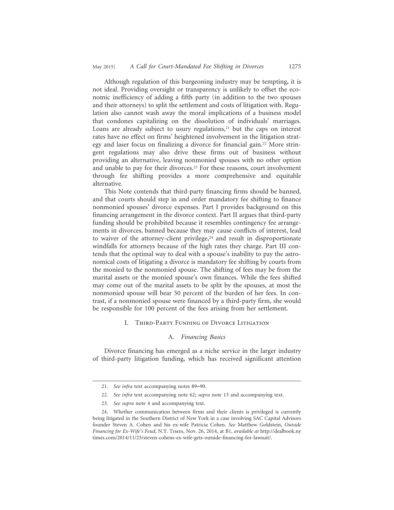Although regulation of this burgeoning industry may be tempting, it is not ideal. Providing oversight or transparency is unlikely to offset the economic inefficiency of adding a fifth party (in addition to the two spouses and their attorneys) to split the settlement and costs of litigation with. Regulation also cannot wash away the moral implications of a business model that condones capitalizing on the dissolution of individuals' marriages. Loans are already subject to usury regulations, $21$  but the caps on interest rates have no effect on firms' heightened involvement in the litigation strategy and laser focus on finalizing a divorce for financial gain.<sup>22</sup> More stringent regulations may also drive these firms out of business without providing an alternative, leaving nonmonied spouses with no other option and unable to pay for their divorces.23 For these reasons, court involvement through fee shifting provides a more comprehensive and equitable alternative.

This Note contends that third-party financing firms should be banned, and that courts should step in and order mandatory fee shifting to finance nonmonied spouses' divorce expenses. Part I provides background on this financing arrangement in the divorce context. Part II argues that third-party funding should be prohibited because it resembles contingency fee arrangements in divorces, banned because they may cause conflicts of interest, lead to waiver of the attorney-client privilege, $24$  and result in disproportionate windfalls for attorneys because of the high rates they charge. Part III contends that the optimal way to deal with a spouse's inability to pay the astronomical costs of litigating a divorce is mandatory fee shifting by courts from the monied to the nonmonied spouse. The shifting of fees may be from the marital assets or the monied spouse's own finances. While the fees shifted may come out of the marital assets to be split by the spouses, at most the nonmonied spouse will bear 50 percent of the burden of her fees. In contrast, if a nonmonied spouse were financed by a third-party firm, she would be responsible for 100 percent of the fees arising from her settlement.

#### I. Third-Party Funding of Divorce Litigation

#### A. *Financing Basics*

Divorce financing has emerged as a niche service in the larger industry of third-party litigation funding, which has received significant attention

<sup>21.</sup> *See infra* text accompanying notes 89–90.

<sup>22.</sup> *See infra* text accompanying note 62; *supra* note 13 and accompanying text.

<sup>23.</sup> *See supra* note 4 and accompanying text.

<sup>24.</sup> Whether communication between firms and their clients is privileged is currently being litigated in the Southern District of New York in a case involving SAC Capital Advisors founder Steven A. Cohen and his ex-wife Patricia Cohen. *See* Matthew Goldstein, *Outside Financing for Ex-Wife's Feud*, N.Y. Times, Nov. 26, 2014, at B1, *available at* http://dealbook.ny times.com/2014/11/25/steven-cohens-ex-wife-gets-outside-financing-for-lawsuit/.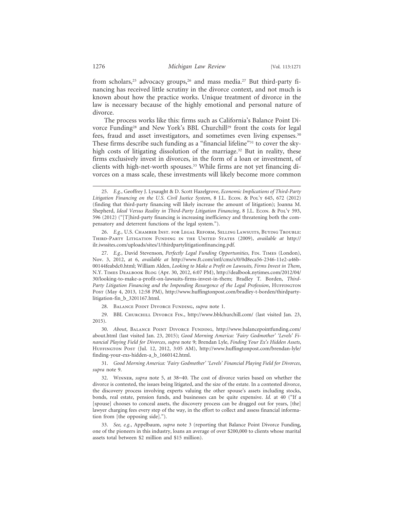from scholars,<sup>25</sup> advocacy groups,<sup>26</sup> and mass media.<sup>27</sup> But third-party financing has received little scrutiny in the divorce context, and not much is known about how the practice works. Unique treatment of divorce in the law is necessary because of the highly emotional and personal nature of divorce.

The process works like this: firms such as California's Balance Point Divorce Funding<sup>28</sup> and New York's BBL Churchill<sup>29</sup> front the costs for legal fees, fraud and asset investigators, and sometimes even living expenses.30 These firms describe such funding as a "financial lifeline"<sup>31</sup> to cover the skyhigh costs of litigating dissolution of the marriage.<sup>32</sup> But in reality, these firms exclusively invest in divorces, in the form of a loan or investment, of clients with high-net-worth spouses.33 While firms are not yet financing divorces on a mass scale, these investments will likely become more common

26. *E.g.*, U.S. Chamber Inst. for Legal Reform, Selling Lawsuits, Buying Trouble: Third-Party Litigation Funding in the United States (2009), *available at* http:// ilr.iwssites.com/uploads/sites/1/thirdpartylitigationfinancing.pdf.

27. *E.g.*, David Stevenson, *Perfectly Legal Funding Opportunities*, Fin. Times (London), Nov. 3, 2012, at 6, *available at* http://www.ft.com/intl/cms/s/0/0d8eca56-2346-11e2-a46b-00144feabdc0.html; William Alden, *Looking to Make a Profit on Lawsuits, Firms Invest in Them*, N.Y. Times Dealbook Blog (Apr. 30, 2012, 6:07 PM), http://dealbook.nytimes.com/2012/04/ 30/looking-to-make-a-profit-on-lawsuits-firms-invest-in-them; Bradley T. Borden, *Third-*Party Litigation Financing and the Impending Resurgence of the Legal Profession, HUFFINGTON Post (May 4, 2013, 12:58 PM), http://www.huffingtonpost.com/bradley-t-borden/thirdpartylitigation-fin\_b\_3201167.html.

28. Balance Point Divorce Funding, *supra* note 1.

29. BBL Churchill Divorce Fin., http://www.bblchurchill.com/ (last visited Jan. 23, 2015).

30. *About*, Balance Point Divorce Funding, http://www.balancepointfunding.com/ about.html (last visited Jan. 23, 2015); *Good Morning America: 'Fairy Godmother' 'Levels' Financial Playing Field for Divorces*, *supra* note 9; Brendan Lyle, *Finding Your Ex's Hidden Assets*, Huffington Post (Jul. 12, 2012, 3:05 AM), http://www.huffingtonpost.com/brendan-lyle/ finding-your-exs-hidden-a\_b\_1660142.html.

31. *Good Morning America: 'Fairy Godmother' 'Levels' Financial Playing Field for Divorces*, *supra* note 9.

32. Winner, *supra* note 5, at 38–40. The cost of divorce varies based on whether the divorce is contested, the issues being litigated, and the size of the estate. In a contested divorce, the discovery process involving experts valuing the other spouse's assets including stocks, bonds, real estate, pension funds, and businesses can be quite expensive. *Id.* at 40 ("If a [spouse] chooses to conceal assets, the discovery process can be dragged out for years, [the] lawyer charging fees every step of the way, in the effort to collect and assess financial information from [the opposing side].").

33. *See, e.g.*, Appelbaum, *supra* note 3 (reporting that Balance Point Divorce Funding, one of the pioneers in this industry, loans an average of over \$200,000 to clients whose marital assets total between \$2 million and \$15 million).

<sup>25.</sup> *E.g.*, Geoffrey J. Lysaught & D. Scott Hazelgrove, *Economic Implications of Third-Party Litigation Financing on the U.S. Civil Justice System*, 8 J.L. Econ. & Pol'y 645, 672 (2012) (finding that third-party financing will likely increase the amount of litigation); Joanna M. Shepherd, *Ideal Versus Reality in Third-Party Litigation Financing*, 8 J.L. Econ. & Pol'y 593, 596 (2012) ("[T]hird-party financing is increasing inefficiency and threatening both the compensatory and deterrent functions of the legal system.").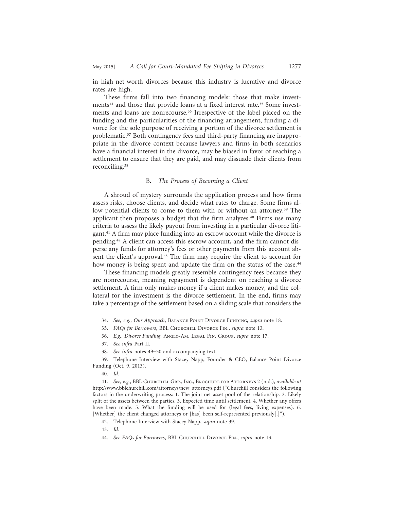in high-net-worth divorces because this industry is lucrative and divorce rates are high.

These firms fall into two financing models: those that make investments<sup>34</sup> and those that provide loans at a fixed interest rate.<sup>35</sup> Some investments and loans are nonrecourse.36 Irrespective of the label placed on the funding and the particularities of the financing arrangement, funding a divorce for the sole purpose of receiving a portion of the divorce settlement is problematic.37 Both contingency fees and third-party financing are inappropriate in the divorce context because lawyers and firms in both scenarios have a financial interest in the divorce, may be biased in favor of reaching a settlement to ensure that they are paid, and may dissuade their clients from reconciling.38

### B. *The Process of Becoming a Client*

A shroud of mystery surrounds the application process and how firms assess risks, choose clients, and decide what rates to charge. Some firms allow potential clients to come to them with or without an attorney.39 The applicant then proposes a budget that the firm analyzes.<sup>40</sup> Firms use many criteria to assess the likely payout from investing in a particular divorce litigant.41 A firm may place funding into an escrow account while the divorce is pending.42 A client can access this escrow account, and the firm cannot disperse any funds for attorney's fees or other payments from this account absent the client's approval.43 The firm may require the client to account for how money is being spent and update the firm on the status of the case.<sup>44</sup>

These financing models greatly resemble contingency fees because they are nonrecourse, meaning repayment is dependent on reaching a divorce settlement. A firm only makes money if a client makes money, and the collateral for the investment is the divorce settlement. In the end, firms may take a percentage of the settlement based on a sliding scale that considers the

36. *E.g.*, *Divorce Funding*, Anglo-Am. Legal Fin. Group, *supra* note 17.

39. Telephone Interview with Stacey Napp, Founder & CEO, Balance Point Divorce Funding (Oct. 9, 2013).

41. *See, e.g.*, BBL Churchill Grp., Inc., Brochure for Attorneys 2 (n.d.), *available at* http://www.bblchurchill.com/attorneys/new\_attorneys.pdf ("Churchill considers the following factors in the underwriting process: 1. The joint net asset pool of the relationship. 2. Likely split of the assets between the parties. 3. Expected time until settlement. 4. Whether any offers have been made. 5. What the funding will be used for (legal fees, living expenses). 6. [Whether] the client changed attorneys or [has] been self-represented previously[.]").

<sup>34.</sup> *See, e.g.*, *Our Approach*, Balance Point Divorce Funding, *supra* note 18.

<sup>35.</sup> *FAQs for Borrowers*, BBL Churchill Divorce Fin., *supra* note 13.

<sup>37.</sup> *See infra* Part II.

<sup>38.</sup> *See infra* notes 49–50 and accompanying text.

<sup>40.</sup> *Id.*

<sup>42.</sup> Telephone Interview with Stacey Napp, *supra* note 39.

<sup>43.</sup> *Id.*

<sup>44.</sup> *See FAQs for Borrowers*, BBL Churchill Divorce Fin., *supra* note 13.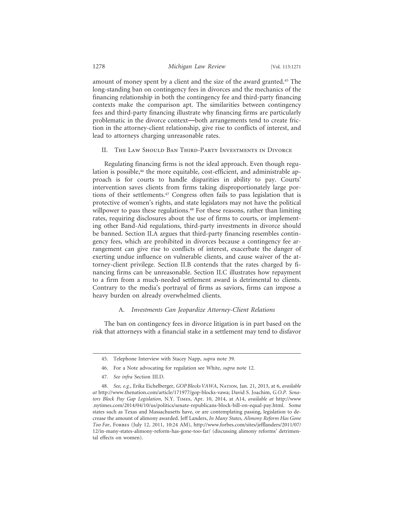amount of money spent by a client and the size of the award granted.45 The long-standing ban on contingency fees in divorces and the mechanics of the financing relationship in both the contingency fee and third-party financing contexts make the comparison apt. The similarities between contingency fees and third-party financing illustrate why financing firms are particularly problematic in the divorce context—both arrangements tend to create friction in the attorney-client relationship, give rise to conflicts of interest, and lead to attorneys charging unreasonable rates.

II. The Law Should Ban Third-Party Investments in Divorce

Regulating financing firms is not the ideal approach. Even though regulation is possible,<sup>46</sup> the more equitable, cost-efficient, and administrable approach is for courts to handle disparities in ability to pay. Courts' intervention saves clients from firms taking disproportionately large portions of their settlements.47 Congress often fails to pass legislation that is protective of women's rights, and state legislators may not have the political willpower to pass these regulations.<sup>48</sup> For these reasons, rather than limiting rates, requiring disclosures about the use of firms to courts, or implementing other Band-Aid regulations, third-party investments in divorce should be banned. Section II.A argues that third-party financing resembles contingency fees, which are prohibited in divorces because a contingency fee arrangement can give rise to conflicts of interest, exacerbate the danger of exerting undue influence on vulnerable clients, and cause waiver of the attorney-client privilege. Section II.B contends that the rates charged by financing firms can be unreasonable. Section II.C illustrates how repayment to a firm from a much-needed settlement award is detrimental to clients. Contrary to the media's portrayal of firms as saviors, firms can impose a heavy burden on already overwhelmed clients.

#### A. *Investments Can Jeopardize Attorney-Client Relations*

The ban on contingency fees in divorce litigation is in part based on the risk that attorneys with a financial stake in a settlement may tend to disfavor

47. *See infra* Section III.D.

<sup>45.</sup> Telephone Interview with Stacey Napp, *supra* note 39.

<sup>46.</sup> For a Note advocating for regulation see White, *supra* note 12.

<sup>48.</sup> *See, e.g.*, Erika Eichelberger, *GOP Blocks VAWA*, Nation, Jan. 21, 2013, at 6, *available at* http://www.thenation.com/article/171977/gop-blocks-vawa; David S. Joachim, *G.O.P. Senators Block Pay Gap Legislation*, N.Y. Times, Apr. 10, 2014, at A14, *available at* http://www .nytimes.com/2014/04/10/us/politics/senate-republicans-block-bill-on-equal-pay.html. Some states such as Texas and Massachusetts have, or are contemplating passing, legislation to decrease the amount of alimony awarded. Jeff Landers, *In Many States, Alimony Reform Has Gone Too Far*, Forbes (July 12, 2011, 10:24 AM), http://www.forbes.com/sites/jefflanders/2011/07/ 12/in-many-states-alimony-reform-has-gone-too-far/ (discussing alimony reforms' detrimental effects on women).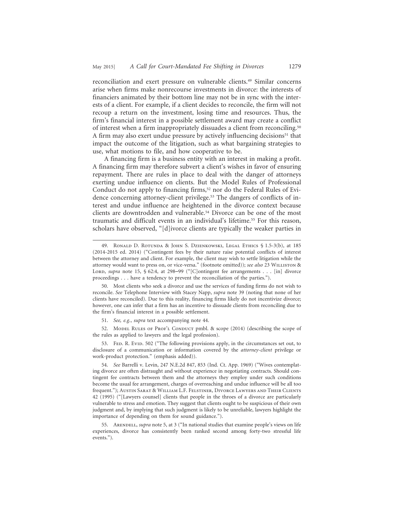reconciliation and exert pressure on vulnerable clients.49 Similar concerns arise when firms make nonrecourse investments in divorce: the interests of financiers animated by their bottom line may not be in sync with the interests of a client. For example, if a client decides to reconcile, the firm will not recoup a return on the investment, losing time and resources. Thus, the firm's financial interest in a possible settlement award may create a conflict of interest when a firm inappropriately dissuades a client from reconciling.50 A firm may also exert undue pressure by actively influencing decisions<sup>51</sup> that impact the outcome of the litigation, such as what bargaining strategies to use, what motions to file, and how cooperative to be.

A financing firm is a business entity with an interest in making a profit. A financing firm may therefore subvert a client's wishes in favor of ensuring repayment. There are rules in place to deal with the danger of attorneys exerting undue influence on clients. But the Model Rules of Professional Conduct do not apply to financing firms,<sup>52</sup> nor do the Federal Rules of Evidence concerning attorney-client privilege.<sup>53</sup> The dangers of conflicts of interest and undue influence are heightened in the divorce context because clients are downtrodden and vulnerable.54 Divorce can be one of the most traumatic and difficult events in an individual's lifetime.55 For this reason, scholars have observed, "[d]ivorce clients are typically the weaker parties in

<sup>49.</sup> Ronald D. Rotunda & John S. Dzienkowski, Legal Ethics § 1.5-3(b), at 185 (2014-2015 ed. 2014) ("Contingent fees by their nature raise potential conflicts of interest between the attorney and client. For example, the client may wish to settle litigation while the attorney would want to press on, or vice-versa." (footnote omitted)); see also 23 WILLISTON & Lord, *supra* note 15, § 62:4, at 298–99 ("[C]ontingent fee arrangements . . . [in] divorce proceedings . . . have a tendency to prevent the reconciliation of the parties.").

<sup>50.</sup> Most clients who seek a divorce and use the services of funding firms do not wish to reconcile. *See* Telephone Interview with Stacey Napp, *supra* note 39 (noting that none of her clients have reconciled). Due to this reality, financing firms likely do not incentivize divorce; however, one can infer that a firm has an incentive to dissuade clients from reconciling due to the firm's financial interest in a possible settlement.

<sup>51.</sup> *See, e.g.*, *supra* text accompanying note 44.

<sup>52.</sup> Model Rules of Prof'l Conduct pmbl. & scope (2014) (describing the scope of the rules as applied to lawyers and the legal profession).

<sup>53.</sup> FED. R. Evid. 502 ("The following provisions apply, in the circumstances set out, to disclosure of a communication or information covered by the *attorney-client* privilege or work-product protection." (emphasis added)).

<sup>54.</sup> *See* Barrelli v. Levin, 247 N.E.2d 847, 853 (Ind. Ct. App. 1969) ("Wives contemplating divorce are often distraught and without experience in negotiating contracts. Should contingent fee contracts between them and the attorneys they employ under such conditions become the usual fee arrangement, charges of overreaching and undue influence will be all too frequent."); Austin Sarat & William L.F. Felstiner, Divorce Lawyers and Their Clients 42 (1995) ("[Lawyers counsel] clients that people in the throes of a divorce are particularly vulnerable to stress and emotion. They suggest that clients ought to be suspicious of their own judgment and, by implying that such judgment is likely to be unreliable, lawyers highlight the importance of depending on them for sound guidance.").

<sup>55.</sup> Arendell, *supra* note 5, at 3 ("In national studies that examine people's views on life experiences, divorce has consistently been ranked second among forty-two stressful life events.").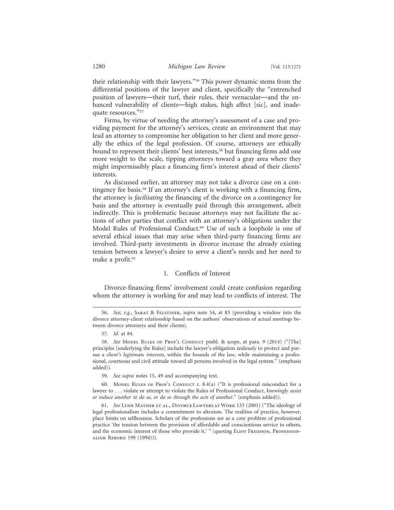their relationship with their lawyers."56 This power dynamic stems from the differential positions of the lawyer and client, specifically the "entrenched position of lawyers—their turf, their rules, their vernacular—and the enhanced vulnerability of clients—high stakes, high affect [sic], and inadequate resources."57

Firms, by virtue of needing the attorney's assessment of a case and providing payment for the attorney's services, create an environment that may lead an attorney to compromise her obligation to her client and more generally the ethics of the legal profession. Of course, attorneys are ethically bound to represent their clients' best interests,<sup>58</sup> but financing firms add one more weight to the scale, tipping attorneys toward a gray area where they might impermissibly place a financing firm's interest ahead of their clients' interests.

As discussed earlier, an attorney may not take a divorce case on a contingency fee basis.59 If an attorney's client is working with a financing firm, the attorney is *facilitating* the financing of the divorce on a contingency fee basis and the attorney is eventually paid through this arrangement, albeit indirectly. This is problematic because attorneys may not facilitate the actions of other parties that conflict with an attorney's obligations under the Model Rules of Professional Conduct.<sup>60</sup> Use of such a loophole is one of several ethical issues that may arise when third-party financing firms are involved. Third-party investments in divorce increase the already existing tension between a lawyer's desire to serve a client's needs and her need to make a profit.<sup>61</sup>

#### 1. Conflicts of Interest

Divorce-financing firms' involvement could create confusion regarding whom the attorney is working for and may lead to conflicts of interest. The

<sup>56.</sup> *See, e.g.*, Sarat & Felstiner, *supra* note 54, at 83 (providing a window into the divorce attorney-client relationship based on the authors' observations of actual meetings between divorce attorneys and their clients).

<sup>57.</sup> *Id.* at 84.

<sup>58.</sup> *See* Model Rules of Prof'l Conduct pmbl. & scope, at para. 9 (2014) ("[The] principles [underlying the Rules] include the lawyer's obligation zealously to protect and pursue a *client's legitimate interests*, within the bounds of the law, while maintaining a professional, courteous and civil attitude toward all persons involved in the legal system." (emphasis added)).

<sup>59.</sup> *See supra* notes 15, 49 and accompanying text.

<sup>60.</sup> Model Rules of Prof'l Conduct r. 8.4(a) ("It is professional misconduct for a lawyer to . . . violate or attempt to violate the Rules of Professional Conduct, *knowingly assist or induce another to do so, or do so through the acts of another*." (emphasis added)).

<sup>61.</sup> *See* Lynn Mather et al., Divorce Lawyers at Work 133 (2001) ("The ideology of legal professionalism includes a commitment to altruism. The realities of practice, however, place limits on selflessness. Scholars of the professions see as a core problem of professional practice 'the tension between the provision of affordable and conscientious service to others, and the economic interest of those who provide it.' " (quoting ELIOT FREIDSON, PROFESSIONalism Reborn 199 (1994))).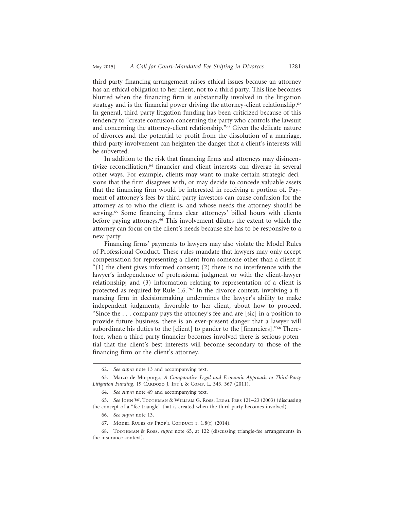third-party financing arrangement raises ethical issues because an attorney has an ethical obligation to her client, not to a third party. This line becomes blurred when the financing firm is substantially involved in the litigation strategy and is the financial power driving the attorney-client relationship.<sup>62</sup> In general, third-party litigation funding has been criticized because of this tendency to "create confusion concerning the party who controls the lawsuit and concerning the attorney-client relationship."63 Given the delicate nature of divorces and the potential to profit from the dissolution of a marriage, third-party involvement can heighten the danger that a client's interests will be subverted.

In addition to the risk that financing firms and attorneys may disincentivize reconciliation,<sup>64</sup> financier and client interests can diverge in several other ways. For example, clients may want to make certain strategic decisions that the firm disagrees with, or may decide to concede valuable assets that the financing firm would be interested in receiving a portion of. Payment of attorney's fees by third-party investors can cause confusion for the attorney as to who the client is, and whose needs the attorney should be serving.65 Some financing firms clear attorneys' billed hours with clients before paying attorneys.66 This involvement dilutes the extent to which the attorney can focus on the client's needs because she has to be responsive to a new party.

Financing firms' payments to lawyers may also violate the Model Rules of Professional Conduct. These rules mandate that lawyers may only accept compensation for representing a client from someone other than a client if  $(1)$  the client gives informed consent; (2) there is no interference with the lawyer's independence of professional judgment or with the client-lawyer relationship; and (3) information relating to representation of a client is protected as required by Rule 1.6."<sup>67</sup> In the divorce context, involving a financing firm in decisionmaking undermines the lawyer's ability to make independent judgments, favorable to her client, about how to proceed. "Since the . . . company pays the attorney's fee and are [sic] in a position to provide future business, there is an ever-present danger that a lawyer will subordinate his duties to the [client] to pander to the [financiers]."<sup>68</sup> Therefore, when a third-party financier becomes involved there is serious potential that the client's best interests will become secondary to those of the financing firm or the client's attorney.

<sup>62.</sup> *See supra* note 13 and accompanying text.

<sup>63.</sup> Marco de Morpurgo, *A Comparative Legal and Economic Approach to Third-Party* Litigation Funding, 19 CARDOZO J. INT'L & COMP. L. 343, 367 (2011).

<sup>64.</sup> *See supra* note 49 and accompanying text.

<sup>65.</sup> *See* John W. Toothman & William G. Ross, Legal Fees 121–23 (2003) (discussing the concept of a "fee triangle" that is created when the third party becomes involved).

<sup>66.</sup> *See supra* note 13.

<sup>67.</sup> Model Rules of Prof'l Conduct r. 1.8(f) (2014).

<sup>68.</sup> Toothman & Ross, *supra* note 65, at 122 (discussing triangle-fee arrangements in the insurance context).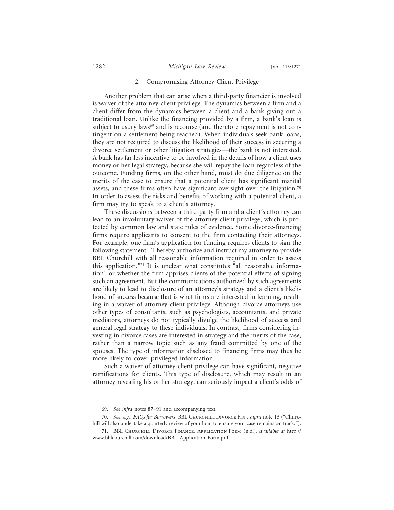#### 2. Compromising Attorney-Client Privilege

Another problem that can arise when a third-party financier is involved is waiver of the attorney-client privilege. The dynamics between a firm and a client differ from the dynamics between a client and a bank giving out a traditional loan. Unlike the financing provided by a firm, a bank's loan is subject to usury laws<sup>69</sup> and is recourse (and therefore repayment is not contingent on a settlement being reached). When individuals seek bank loans, they are not required to discuss the likelihood of their success in securing a divorce settlement or other litigation strategies—the bank is not interested. A bank has far less incentive to be involved in the details of how a client uses money or her legal strategy, because she will repay the loan regardless of the outcome. Funding firms, on the other hand, must do due diligence on the merits of the case to ensure that a potential client has significant marital assets, and these firms often have significant oversight over the litigation.70 In order to assess the risks and benefits of working with a potential client, a firm may try to speak to a client's attorney.

These discussions between a third-party firm and a client's attorney can lead to an involuntary waiver of the attorney-client privilege, which is protected by common law and state rules of evidence. Some divorce-financing firms require applicants to consent to the firm contacting their attorneys. For example, one firm's application for funding requires clients to sign the following statement: "I hereby authorize and instruct my attorney to provide BBL Churchill with all reasonable information required in order to assess this application."71 It is unclear what constitutes "all reasonable information" or whether the firm apprises clients of the potential effects of signing such an agreement. But the communications authorized by such agreements are likely to lead to disclosure of an attorney's strategy and a client's likelihood of success because that is what firms are interested in learning, resulting in a waiver of attorney-client privilege. Although divorce attorneys use other types of consultants, such as psychologists, accountants, and private mediators, attorneys do not typically divulge the likelihood of success and general legal strategy to these individuals. In contrast, firms considering investing in divorce cases are interested in strategy and the merits of the case, rather than a narrow topic such as any fraud committed by one of the spouses. The type of information disclosed to financing firms may thus be more likely to cover privileged information.

Such a waiver of attorney-client privilege can have significant, negative ramifications for clients. This type of disclosure, which may result in an attorney revealing his or her strategy, can seriously impact a client's odds of

70. *See, e.g.*, *FAQs for Borrowers*, BBL Churchill Divorce Fin., *supra* note 13 ("Churchill will also undertake a quarterly review of your loan to ensure your case remains on track.").

<sup>69.</sup> *See infra* notes 87–91 and accompanying text.

<sup>71.</sup> BBL Churchill Divorce Finance, Application Form (n.d.), *available at* http:// www.bblchurchill.com/download/BBL\_Application-Form.pdf.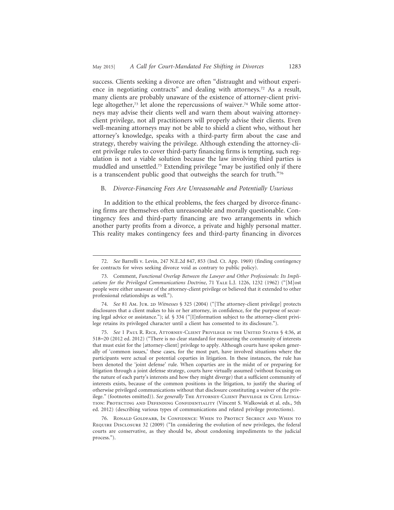success. Clients seeking a divorce are often "distraught and without experience in negotiating contracts" and dealing with attorneys.72 As a result, many clients are probably unaware of the existence of attorney-client privilege altogether,<sup>73</sup> let alone the repercussions of waiver.<sup>74</sup> While some attorneys may advise their clients well and warn them about waiving attorneyclient privilege, not all practitioners will properly advise their clients. Even well-meaning attorneys may not be able to shield a client who, without her attorney's knowledge, speaks with a third-party firm about the case and strategy, thereby waiving the privilege. Although extending the attorney-client privilege rules to cover third-party financing firms is tempting, such regulation is not a viable solution because the law involving third parties is muddled and unsettled.75 Extending privilege "may be justified only if there is a transcendent public good that outweighs the search for truth."76

#### B. *Divorce-Financing Fees Are Unreasonable and Potentially Usurious*

In addition to the ethical problems, the fees charged by divorce-financing firms are themselves often unreasonable and morally questionable. Contingency fees and third-party financing are two arrangements in which another party profits from a divorce, a private and highly personal matter. This reality makes contingency fees and third-party financing in divorces

<sup>72.</sup> *See* Barrelli v. Levin, 247 N.E.2d 847, 853 (Ind. Ct. App. 1969) (finding contingency fee contracts for wives seeking divorce void as contrary to public policy).

<sup>73.</sup> Comment, *Functional Overlap Between the Lawyer and Other Professionals: Its Implications for the Privileged Communications Doctrine*, 71 Yale L.J. 1226, 1232 (1962) ("[M]ost people were either unaware of the attorney-client privilege or believed that it extended to other professional relationships as well.").

<sup>74.</sup> *See* 81 Am. Jur. 2D *Witnesses* § 325 (2004) ("[The attorney-client privilege] protects disclosures that a client makes to his or her attorney, in confidence, for the purpose of securing legal advice or assistance."); *id.* § 334 ("[I]nformation subject to the attorney-client privilege retains its privileged character until a client has consented to its disclosure.").

<sup>75.</sup> *See* 1 Paul R. Rice, Attorney-Client Privilege in the United States § 4:36, at 518–20 (2012 ed. 2012) ("There is no clear standard for measuring the community of interests that must exist for the [attorney-client] privilege to apply. Although courts have spoken generally of 'common issues,' these cases, for the most part, have involved situations where the participants were actual or potential coparties in litigation. In these instances, the rule has been denoted the 'joint defense' rule. When coparties are in the midst of or preparing for litigation through a joint defense strategy, courts have virtually assumed (without focusing on the nature of each party's interests and how they might diverge) that a sufficient community of interests exists, because of the common positions in the litigation, to justify the sharing of otherwise privileged communications without that disclosure constituting a waiver of the privilege." (footnotes omitted)). *See generally* The Attorney-Client Privilege in Civil Litigation: Protecting and Defending Confidentiality (Vincent S. Walkowiak et al. eds., 5th ed. 2012) (describing various types of communications and related privilege protections).

<sup>76.</sup> Ronald Goldfarb, In Confidence: When to Protect Secrecy and When to Require Disclosure 32 (2009) ("In considering the evolution of new privileges, the federal courts are conservative, as they should be, about condoning impediments to the judicial process.").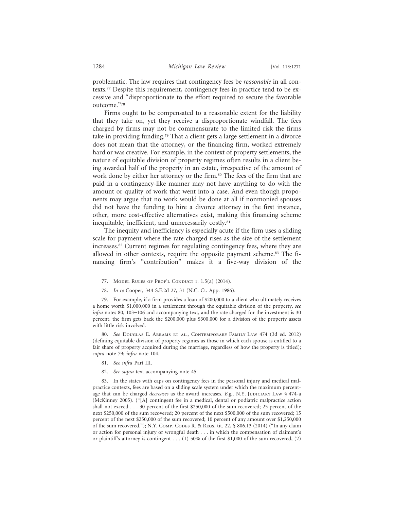problematic. The law requires that contingency fees be *reasonable* in all contexts.77 Despite this requirement, contingency fees in practice tend to be excessive and "disproportionate to the effort required to secure the favorable outcome."78

Firms ought to be compensated to a reasonable extent for the liability that they take on, yet they receive a disproportionate windfall. The fees charged by firms may not be commensurate to the limited risk the firms take in providing funding.79 That a client gets a large settlement in a divorce does not mean that the attorney, or the financing firm, worked extremely hard or was creative. For example, in the context of property settlements, the nature of equitable division of property regimes often results in a client being awarded half of the property in an estate, irrespective of the amount of work done by either her attorney or the firm.<sup>80</sup> The fees of the firm that are paid in a contingency-like manner may not have anything to do with the amount or quality of work that went into a case. And even though proponents may argue that no work would be done at all if nonmonied spouses did not have the funding to hire a divorce attorney in the first instance, other, more cost-effective alternatives exist, making this financing scheme inequitable, inefficient, and unnecessarily costly.<sup>81</sup>

The inequity and inefficiency is especially acute if the firm uses a sliding scale for payment where the rate charged rises as the size of the settlement increases.82 Current regimes for regulating contingency fees, where they are allowed in other contexts, require the opposite payment scheme.<sup>83</sup> The financing firm's "contribution" makes it a five-way division of the

80. *See* Douglas E. Abrams et al., Contemporary Family Law 474 (3d ed. 2012) (defining equitable division of property regimes as those in which each spouse is entitled to a fair share of property acquired during the marriage, regardless of how the property is titled); *supra* note 79; *infra* note 104.

- 81. *See infra* Part III.
- 82. *See supra* text accompanying note 45.

83. In the states with caps on contingency fees in the personal injury and medical malpractice contexts, fees are based on a sliding scale system under which the maximum percentage that can be charged *decreases* as the award increases. *E.g.*, N.Y. JUDICIARY LAW § 474-a (McKinney 2005). ("[A] contingent fee in a medical, dental or podiatric malpractice action shall not exceed . . . 30 percent of the first \$250,000 of the sum recovered; 25 percent of the next \$250,000 of the sum recovered; 20 percent of the next \$500,000 of the sum recovered; 15 percent of the next \$250,000 of the sum recovered; 10 percent of any amount over \$1,250,000 of the sum recovered."); N.Y. COMP. CODES R. & REGS. tit. 22,  $\frac{6}{5}$  806.13 (2014) ("In any claim or action for personal injury or wrongful death . . . in which the compensation of claimant's or plaintiff's attorney is contingent . . . (1) 50% of the first \$1,000 of the sum recovered, (2)

<sup>77.</sup> Model Rules of Prof'l Conduct r. 1.5(a) (2014).

<sup>78.</sup> *In re* Cooper, 344 S.E.2d 27, 31 (N.C. Ct. App. 1986).

<sup>79.</sup> For example, if a firm provides a loan of \$200,000 to a client who ultimately receives a home worth \$1,000,000 in a settlement through the equitable division of the property, *see infra* notes 80, 103–106 and accompanying text, and the rate charged for the investment is 30 percent, the firm gets back the \$200,000 plus \$300,000 for a division of the property assets with little risk involved.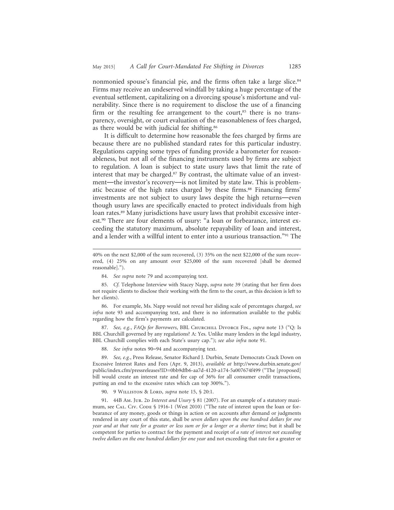nonmonied spouse's financial pie, and the firms often take a large slice.<sup>84</sup> Firms may receive an undeserved windfall by taking a huge percentage of the eventual settlement, capitalizing on a divorcing spouse's misfortune and vulnerability. Since there is no requirement to disclose the use of a financing firm or the resulting fee arrangement to the court, $85$  there is no transparency, oversight, or court evaluation of the reasonableness of fees charged, as there would be with judicial fee shifting.86

It is difficult to determine how reasonable the fees charged by firms are because there are no published standard rates for this particular industry. Regulations capping some types of funding provide a barometer for reasonableness, but not all of the financing instruments used by firms are subject to regulation. A loan is subject to state usury laws that limit the rate of interest that may be charged.87 By contrast, the ultimate value of an investment—the investor's recovery—is not limited by state law. This is problematic because of the high rates charged by these firms.<sup>88</sup> Financing firms' investments are not subject to usury laws despite the high returns—even though usury laws are specifically enacted to protect individuals from high loan rates.<sup>89</sup> Many jurisdictions have usury laws that prohibit excessive interest.90 There are four elements of usury: "a loan or forbearance, interest exceeding the statutory maximum, absolute repayability of loan and interest, and a lender with a willful intent to enter into a usurious transaction."91 The

86. For example, Ms. Napp would not reveal her sliding scale of percentages charged, *see infra* note 93 and accompanying text, and there is no information available to the public regarding how the firm's payments are calculated.

87. *See, e.g.*, *FAQs for Borrowers*, BBL Churchill Divorce Fin., *supra* note 13 ("Q: Is BBL Churchill governed by any regulations? A: Yes. Unlike many lenders in the legal industry, BBL Churchill complies with each State's usury cap."); *see also infra* note 91.

88. *See infra* notes 90–94 and accompanying text.

89. *See, e.g.*, Press Release, Senator Richard J. Durbin, Senate Democrats Crack Down on Excessive Interest Rates and Fees (Apr. 9, 2013), *available at* http://www.durbin.senate.gov/ public/index.cfm/pressreleases?ID=0bb9dfb6-aa7d-4120-a174-5a007674f499 ("The [proposed] bill would create an interest rate and fee cap of 36% for all consumer credit transactions, putting an end to the excessive rates which can top 300%.").

90. 9 Williston & Lord, *supra* note 15, § 20:1.

91. 44B Am. Jur. 2D *Interest and Usury* § 81 (2007). For an example of a statutory maximum, see CAL. CIV. CODE § 1916-1 (West 2010) ("The rate of interest upon the loan or forbearance of any money, goods or things in action or on accounts after demand or judgments rendered in any court of this state, shall be *seven dollars upon the one hundred dollars for one year and at that rate for a greater or less sum or for a longer or a shorter time*; but it shall be competent for parties to contract for the payment and receipt of *a rate of interest not exceeding twelve dollars on the one hundred dollars for one year* and not exceeding that rate for a greater or

<sup>40%</sup> on the next \$2,000 of the sum recovered, (3) 35% on the next \$22,000 of the sum recovered, (4) 25% on any amount over \$25,000 of the sum recovered [shall be deemed reasonable].").

<sup>84.</sup> *See supra* note 79 and accompanying text.

<sup>85.</sup> *Cf.* Telephone Interview with Stacey Napp, *supra* note 39 (stating that her firm does not require clients to disclose their working with the firm to the court, as this decision is left to her clients).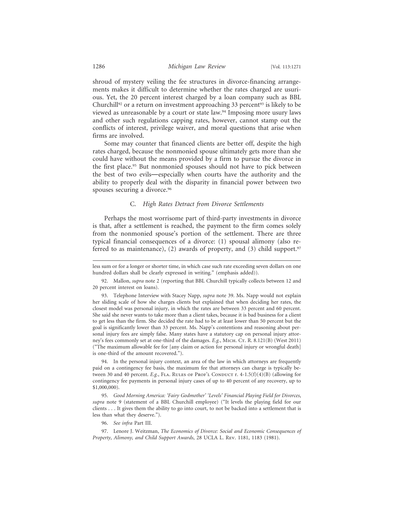shroud of mystery veiling the fee structures in divorce-financing arrangements makes it difficult to determine whether the rates charged are usurious. Yet, the 20 percent interest charged by a loan company such as BBL Churchill<sup>92</sup> or a return on investment approaching 33 percent<sup>93</sup> is likely to be viewed as unreasonable by a court or state law.<sup>94</sup> Imposing more usury laws and other such regulations capping rates, however, cannot stamp out the conflicts of interest, privilege waiver, and moral questions that arise when firms are involved.

Some may counter that financed clients are better off, despite the high rates charged, because the nonmonied spouse ultimately gets more than she could have without the means provided by a firm to pursue the divorce in the first place.<sup>95</sup> But nonmonied spouses should not have to pick between the best of two evils—especially when courts have the authority and the ability to properly deal with the disparity in financial power between two spouses securing a divorce.<sup>96</sup>

#### C. *High Rates Detract from Divorce Settlements*

Perhaps the most worrisome part of third-party investments in divorce is that, after a settlement is reached, the payment to the firm comes solely from the nonmonied spouse's portion of the settlement. There are three typical financial consequences of a divorce: (1) spousal alimony (also referred to as maintenance), (2) awards of property, and (3) child support.<sup>97</sup>

94. In the personal injury context, an area of the law in which attorneys are frequently paid on a contingency fee basis, the maximum fee that attorneys can charge is typically between 30 and 40 percent. *E.g.*, FLA. RULES OF PROF'L CONDUCT r. 4-1.5(f)(4)(B) (allowing for contingency fee payments in personal injury cases of up to 40 percent of any recovery, up to \$1,000,000).

95. *Good Morning America: 'Fairy Godmother' 'Levels' Financial Playing Field for Divorces*, *supra* note 9 (statement of a BBL Churchill employee) ("It levels the playing field for our clients . . . It gives them the ability to go into court, to not be backed into a settlement that is less than what they deserve.").

96. *See infra* Part III.

97. Lenore J. Weitzman, *The Economics of Divorce: Social and Economic Consequences of Property, Alimony, and Child Support Awards*, 28 UCLA L. Rev. 1181, 1183 (1981).

less sum or for a longer or shorter time, in which case such rate exceeding seven dollars on one hundred dollars shall be clearly expressed in writing." (emphasis added)).

<sup>92.</sup> Mallon, *supra* note 2 (reporting that BBL Churchill typically collects between 12 and 20 percent interest on loans).

<sup>93.</sup> Telephone Interview with Stacey Napp, *supra* note 39. Ms. Napp would not explain her sliding scale of how she charges clients but explained that when deciding her rates, the closest model was personal injury, in which the rates are between 33 percent and 60 percent. She said she never wants to take more than a client takes, because it is bad business for a client to get less than the firm. She decided the rate had to be at least lower than 50 percent but the goal is significantly lower than 33 percent. Ms. Napp's contentions and reasoning about personal injury fees are simply false. Many states have a statutory cap on personal injury attorney's fees commonly set at one-third of the damages. *E.g.*, Mich. Cr. R. 8.121(B) (West 2011) ("The maximum allowable fee for [any claim or action for personal injury or wrongful death] is one-third of the amount recovered.").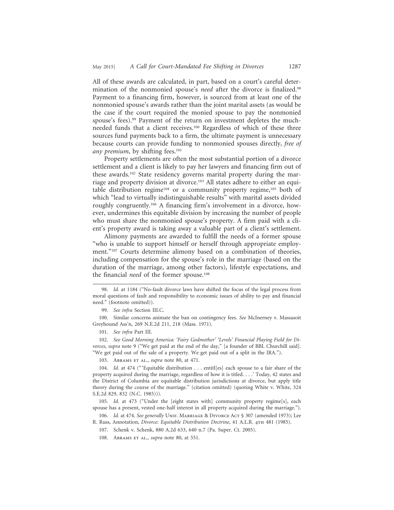All of these awards are calculated, in part, based on a court's careful determination of the nonmonied spouse's *need* after the divorce is finalized.98 Payment to a financing firm, however, is sourced from at least one of the nonmonied spouse's awards rather than the joint marital assets (as would be the case if the court required the monied spouse to pay the nonmonied spouse's fees).<sup>99</sup> Payment of the return on investment depletes the muchneeded funds that a client receives.100 Regardless of which of these three sources fund payments back to a firm, the ultimate payment is unnecessary because courts can provide funding to nonmonied spouses directly, *free of any premium*, by shifting fees.<sup>101</sup>

Property settlements are often the most substantial portion of a divorce settlement and a client is likely to pay her lawyers and financing firm out of these awards.102 State residency governs marital property during the marriage and property division at divorce.<sup>103</sup> All states adhere to either an equitable distribution regime<sup>104</sup> or a community property regime,<sup>105</sup> both of which "lead to virtually indistinguishable results" with marital assets divided roughly congruently.106 A financing firm's involvement in a divorce, however, undermines this equitable division by increasing the number of people who must share the nonmonied spouse's property. A firm paid with a client's property award is taking away a valuable part of a client's settlement.

Alimony payments are awarded to fulfill the needs of a former spouse "who is unable to support himself or herself through appropriate employment."<sup>107</sup> Courts determine alimony based on a combination of theories, including compensation for the spouse's role in the marriage (based on the duration of the marriage, among other factors), lifestyle expectations, and the financial *need* of the former spouse.<sup>108</sup>

103. Abrams et al., *supra* note 80, at 471.

106. *Id.* at 474. *See generally* Unif. Marriage & Divorce Act § 307 (amended 1973); Lee R. Russ, Annotation, *Divorce: Equitable Distribution Doctrine*, 41 A.L.R. 4TH 481 (1985).

<sup>98.</sup> *Id.* at 1184 ("No-fault divorce laws have shifted the focus of the legal process from moral questions of fault and responsibility to economic issues of ability to pay and financial need." (footnote omitted)).

<sup>99.</sup> *See infra* Section III.C.

<sup>100.</sup> Similar concerns animate the ban on contingency fees. *See* McInerney v. Massasoit Greyhound Ass'n, 269 N.E.2d 211, 218 (Mass. 1971).

<sup>101.</sup> *See infra* Part III.

<sup>102.</sup> *See Good Morning America: 'Fairy Godmother' 'Levels' Financial Playing Field for Divorces*, *supra* note 9 ("We get paid at the end of the day," [a founder of BBL Churchill said]. "We get paid out of the sale of a property. We get paid out of a split in the IRA.").

<sup>104.</sup> *Id.* at 474 (" 'Equitable distribution . . . entitl[es] each spouse to a fair share of the property acquired during the marriage, regardless of how it is titled. . . .' Today, 42 states and the District of Columbia are equitable distribution jurisdictions at divorce, but apply title theory during the course of the marriage." (citation omitted) (quoting White v. White, 324 S.E.2d 829, 832 (N.C. 1985))).

<sup>105.</sup> *Id.* at 473 ("Under the [eight states with] community property regime[s], each spouse has a present, vested one-half interest in all property acquired during the marriage.").

<sup>107.</sup> Schenk v. Schenk, 880 A.2d 633, 640 n.7 (Pa. Super. Ct. 2005).

<sup>108.</sup> Abrams et al., *supra* note 80, at 551.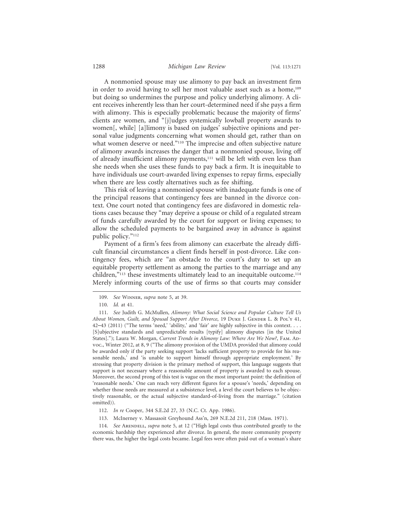#### 1288 *Michigan Law Review* [Vol. 113:1271

A nonmonied spouse may use alimony to pay back an investment firm in order to avoid having to sell her most valuable asset such as a home,<sup>109</sup> but doing so undermines the purpose and policy underlying alimony. A client receives inherently less than her court-determined need if she pays a firm with alimony. This is especially problematic because the majority of firms' clients are women, and "[j]udges systemically lowball property awards to women[, while] [a]limony is based on judges' subjective opinions and personal value judgments concerning what women should get, rather than on what women deserve or need."<sup>110</sup> The imprecise and often subjective nature of alimony awards increases the danger that a nonmonied spouse, living off of already insufficient alimony payments,<sup>111</sup> will be left with even less than she needs when she uses these funds to pay back a firm. It is inequitable to have individuals use court-awarded living expenses to repay firms, especially when there are less costly alternatives such as fee shifting.

This risk of leaving a nonmonied spouse with inadequate funds is one of the principal reasons that contingency fees are banned in the divorce context. One court noted that contingency fees are disfavored in domestic relations cases because they "may deprive a spouse or child of a regulated stream of funds carefully awarded by the court for support or living expenses; to allow the scheduled payments to be bargained away in advance is against public policy."112

Payment of a firm's fees from alimony can exacerbate the already difficult financial circumstances a client finds herself in post-divorce. Like contingency fees, which are "an obstacle to the court's duty to set up an equitable property settlement as among the parties to the marriage and any children,"113 these investments ultimately lead to an inequitable outcome.114 Merely informing courts of the use of firms so that courts may consider

113. McInerney v. Massasoit Greyhound Ass'n, 269 N.E.2d 211, 218 (Mass. 1971).

114. *See* ARENDELL, *supra* note 5, at 12 ("High legal costs thus contributed greatly to the economic hardship they experienced after divorce. In general, the more community property there was, the higher the legal costs became. Legal fees were often paid out of a woman's share

<sup>109.</sup> *See* Winner, *supra* note 5, at 39.

<sup>110.</sup> *Id.* at 41.

<sup>111.</sup> *See* Judith G. McMullen, *Alimony: What Social Science and Popular Culture Tell Us About Women, Guilt, and Spousal Support After Divorce*, 19 Duke J. Gender L. & Pol'y 41, 42-43 (2011) ("The terms 'need,' 'ability,' and 'fair' are highly subjective in this context. . . . [S]ubjective standards and unpredictable results [typify] alimony disputes [in the United States]."); Laura W. Morgan, *Current Trends in Alimony Law: Where Are We Now?*, FAM. ADvoc., Winter 2012, at 8, 9 ("The alimony provision of the UMDA provided that alimony could be awarded only if the party seeking support 'lacks sufficient property to provide for his reasonable needs,' and 'is unable to support himself through appropriate employment.' By stressing that property division is the primary method of support, this language suggests that support is not necessary where a reasonable amount of property is awarded to each spouse. Moreover, the second prong of this test is vague on the most important point: the definition of 'reasonable needs.' One can reach very different figures for a spouse's 'needs,' depending on whether those needs are measured at a subsistence level, a level the court believes to be objectively reasonable, or the actual subjective standard-of-living from the marriage." (citation omitted)).

<sup>112.</sup> *In re* Cooper, 344 S.E.2d 27, 33 (N.C. Ct. App. 1986).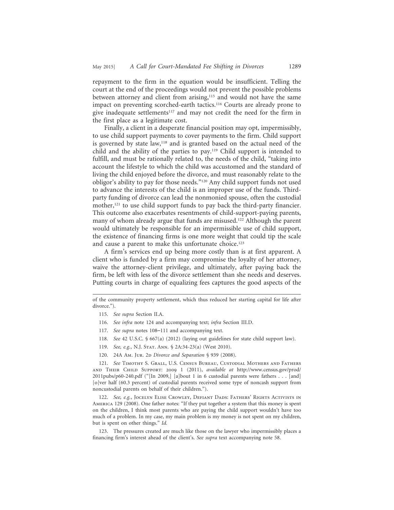repayment to the firm in the equation would be insufficient. Telling the court at the end of the proceedings would not prevent the possible problems between attorney and client from arising,<sup>115</sup> and would not have the same impact on preventing scorched-earth tactics.<sup>116</sup> Courts are already prone to give inadequate settlements<sup>117</sup> and may not credit the need for the firm in the first place as a legitimate cost.

Finally, a client in a desperate financial position may opt, impermissibly, to use child support payments to cover payments to the firm. Child support is governed by state law,<sup>118</sup> and is granted based on the actual need of the child and the ability of the parties to pay.119 Child support is intended to fulfill, and must be rationally related to, the needs of the child, "taking into account the lifestyle to which the child was accustomed and the standard of living the child enjoyed before the divorce, and must reasonably relate to the obligor's ability to pay for those needs."120 Any child support funds not used to advance the interests of the child is an improper use of the funds. Thirdparty funding of divorce can lead the nonmonied spouse, often the custodial mother,<sup>121</sup> to use child support funds to pay back the third-party financier. This outcome also exacerbates resentments of child-support-paying parents, many of whom already argue that funds are misused.<sup>122</sup> Although the parent would ultimately be responsible for an impermissible use of child support, the existence of financing firms is one more weight that could tip the scale and cause a parent to make this unfortunate choice.<sup>123</sup>

A firm's services end up being more costly than is at first apparent. A client who is funded by a firm may compromise the loyalty of her attorney, waive the attorney-client privilege, and ultimately, after paying back the firm, be left with less of the divorce settlement than she needs and deserves. Putting courts in charge of equalizing fees captures the good aspects of the

- 116. *See infra* note 124 and accompanying text; *infra* Section III.D.
- 117. *See supra* notes 108–111 and accompanying text.
- 118. *See* 42 U.S.C. § 667(a) (2012) (laying out guidelines for state child support law).
- 119. *See, e.g.*, N.J. Stat. Ann. § 2A:34-23(a) (West 2010).
- 120. 24A Am. Jur. 2p *Divorce and Separation* § 939 (2008).

121. *See* Timothy S. Grall, U.S. Census Bureau, Custodial Mothers and Fathers and Their Child Support: 2009 1 (2011), *available at* http://www.census.gov/prod/ 2011pubs/p60-240.pdf ("[In 2009,] [a]bout 1 in 6 custodial parents were fathers . . . [and] [o]ver half (60.3 percent) of custodial parents received some type of noncash support from noncustodial parents on behalf of their children.").

122. *See, e.g.*, Jocelyn Elise Crowley, Defiant Dads: Fathers' Rights Activists in America 129 (2008). One father notes: "If they put together a system that this money is spent on the children, I think most parents who are paying the child support wouldn't have too much of a problem. In my case, my main problem is my money is not spent on my children, but is spent on other things." *Id.*

123. The pressures created are much like those on the lawyer who impermissibly places a financing firm's interest ahead of the client's. *See supra* text accompanying note 58.

of the community property settlement, which thus reduced her starting capital for life after divorce.").

<sup>115.</sup> *See supra* Section II.A.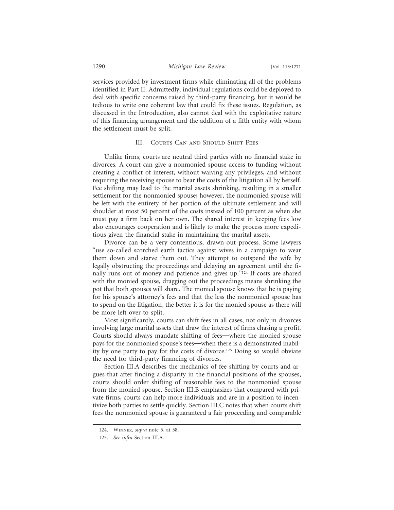#### 1290 *Michigan Law Review* [Vol. 113:1271

services provided by investment firms while eliminating all of the problems identified in Part II. Admittedly, individual regulations could be deployed to deal with specific concerns raised by third-party financing, but it would be tedious to write one coherent law that could fix these issues. Regulation, as discussed in the Introduction, also cannot deal with the exploitative nature of this financing arrangement and the addition of a fifth entity with whom the settlement must be split.

#### III. COURTS CAN AND SHOULD SHIFT FEES

Unlike firms, courts are neutral third parties with no financial stake in divorces. A court can give a nonmonied spouse access to funding without creating a conflict of interest, without waiving any privileges, and without requiring the receiving spouse to bear the costs of the litigation all by herself. Fee shifting may lead to the marital assets shrinking, resulting in a smaller settlement for the nonmonied spouse; however, the nonmonied spouse will be left with the entirety of her portion of the ultimate settlement and will shoulder at most 50 percent of the costs instead of 100 percent as when she must pay a firm back on her own. The shared interest in keeping fees low also encourages cooperation and is likely to make the process more expeditious given the financial stake in maintaining the marital assets.

Divorce can be a very contentious, drawn-out process. Some lawyers "use so-called scorched earth tactics against wives in a campaign to wear them down and starve them out. They attempt to outspend the wife by legally obstructing the proceedings and delaying an agreement until she finally runs out of money and patience and gives up."124 If costs are shared with the monied spouse, dragging out the proceedings means shrinking the pot that both spouses will share. The monied spouse knows that he is paying for his spouse's attorney's fees and that the less the nonmonied spouse has to spend on the litigation, the better it is for the monied spouse as there will be more left over to split.

Most significantly, courts can shift fees in all cases, not only in divorces involving large marital assets that draw the interest of firms chasing a profit. Courts should always mandate shifting of fees—where the monied spouse pays for the nonmonied spouse's fees—when there is a demonstrated inability by one party to pay for the costs of divorce.125 Doing so would obviate the need for third-party financing of divorces.

Section III.A describes the mechanics of fee shifting by courts and argues that after finding a disparity in the financial positions of the spouses, courts should order shifting of reasonable fees to the nonmonied spouse from the monied spouse. Section III.B emphasizes that compared with private firms, courts can help more individuals and are in a position to incentivize both parties to settle quickly. Section III.C notes that when courts shift fees the nonmonied spouse is guaranteed a fair proceeding and comparable

<sup>124.</sup> Winner, *supra* note 5, at 58.

<sup>125.</sup> *See infra* Section III.A.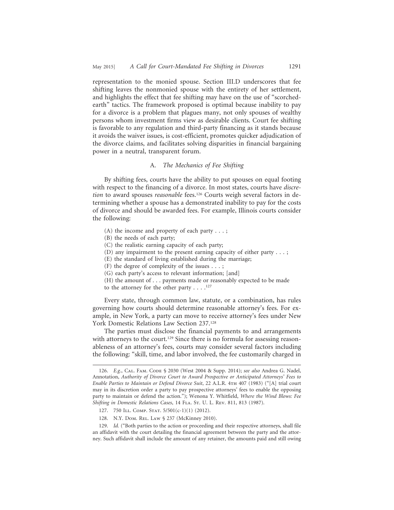representation to the monied spouse. Section III.D underscores that fee shifting leaves the nonmonied spouse with the entirety of her settlement, and highlights the effect that fee shifting may have on the use of "scorchedearth" tactics. The framework proposed is optimal because inability to pay for a divorce is a problem that plagues many, not only spouses of wealthy persons whom investment firms view as desirable clients. Court fee shifting is favorable to any regulation and third-party financing as it stands because it avoids the waiver issues, is cost-efficient, promotes quicker adjudication of the divorce claims, and facilitates solving disparities in financial bargaining power in a neutral, transparent forum.

#### A. *The Mechanics of Fee Shifting*

By shifting fees, courts have the ability to put spouses on equal footing with respect to the financing of a divorce. In most states, courts have *discretion* to award spouses *reasonable* fees.126 Courts weigh several factors in determining whether a spouse has a demonstrated inability to pay for the costs of divorce and should be awarded fees. For example, Illinois courts consider the following:

- (A) the income and property of each party . . . ;
- (B) the needs of each party;
- (C) the realistic earning capacity of each party;
- (D) any impairment to the present earning capacity of either party . . . ;
- (E) the standard of living established during the marriage;
- (F) the degree of complexity of the issues . . . ;
- (G) each party's access to relevant information; [and]
- (H) the amount of . . . payments made or reasonably expected to be made to the attorney for the other party  $\dots$ .<sup>127</sup>

Every state, through common law, statute, or a combination, has rules governing how courts should determine reasonable attorney's fees. For example, in New York, a party can move to receive attorney's fees under New York Domestic Relations Law Section 237.128

The parties must disclose the financial payments to and arrangements with attorneys to the court.<sup>129</sup> Since there is no formula for assessing reasonableness of an attorney's fees, courts may consider several factors including the following: "skill, time, and labor involved, the fee customarily charged in

<sup>126.</sup> *E.g.*, Cal. Fam. Code § 2030 (West 2004 & Supp. 2014); *see also* Andrea G. Nadel, Annotation, *Authority of Divorce Court to Award Prospective or Anticipated Attorneys' Fees to Enable Parties to Maintain or Defend Divorce Suit*, 22 A.L.R. 4th 407 (1983) ("[A] trial court may in its discretion order a party to pay prospective attorneys' fees to enable the opposing party to maintain or defend the action."); Wenona Y. Whitfield, *Where the Wind Blows: Fee Shifting in Domestic Relations Cases*, 14 FLA. St. U. L. Rev. 811, 813 (1987).

<sup>127. 750</sup> ILL. Сомр. Sтат. 5/501(с-1)(1) (2012).

<sup>128.</sup> N.Y. Dom. REL. Law § 237 (McKinney 2010).

<sup>129.</sup> *Id.* ("Both parties to the action or proceeding and their respective attorneys, shall file an affidavit with the court detailing the financial agreement between the party and the attorney. Such affidavit shall include the amount of any retainer, the amounts paid and still owing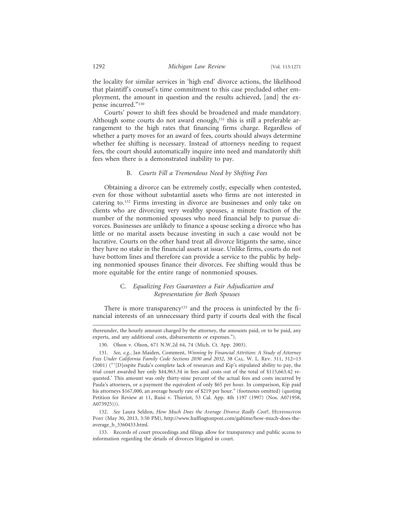the locality for similar services in 'high end' divorce actions, the likelihood that plaintiff's counsel's time commitment to this case precluded other employment, the amount in question and the results achieved, [and] the expense incurred."130

Courts' power to shift fees should be broadened and made mandatory. Although some courts do not award enough, $131$  this is still a preferable arrangement to the high rates that financing firms charge. Regardless of whether a party moves for an award of fees, courts should always determine whether fee shifting is necessary. Instead of attorneys needing to request fees, the court should automatically inquire into need and mandatorily shift fees when there is a demonstrated inability to pay.

#### B. *Courts Fill a Tremendous Need by Shifting Fees*

Obtaining a divorce can be extremely costly, especially when contested, even for those without substantial assets who firms are not interested in catering to.132 Firms investing in divorce are businesses and only take on clients who are divorcing very wealthy spouses, a minute fraction of the number of the nonmonied spouses who need financial help to pursue divorces. Businesses are unlikely to finance a spouse seeking a divorce who has little or no marital assets because investing in such a case would not be lucrative. Courts on the other hand treat all divorce litigants the same, since they have no stake in the financial assets at issue. Unlike firms, courts do not have bottom lines and therefore can provide a service to the public by helping nonmonied spouses finance their divorces. Fee shifting would thus be more equitable for the entire range of nonmonied spouses.

## C. *Equalizing Fees Guarantees a Fair Adjudication and Representation for Both Spouses*

There is more transparency<sup>133</sup> and the process is uninfected by the financial interests of an unnecessary third party if courts deal with the fiscal

thereunder, the hourly amount charged by the attorney, the amounts paid, or to be paid, any experts, and any additional costs, disbursements or expenses.").

<sup>130.</sup> Olson v. Olson, 671 N.W.2d 64, 74 (Mich. Ct. App. 2003).

<sup>131.</sup> *See, e.g.*, Jan Maiden, Comment, *Winning by Financial Attrition: A Study of Attorney Fees Under California Family Code Sections 2030 and 2032*, 38 Cal. W. L. Rev. 311, 312–13 (2001) (" '[D]espite Paula's complete lack of resources and Kip's stipulated ability to pay, the trial court awarded her only \$44,963.34 in fees and costs out of the total of \$115,663.42 requested.' This amount was only thirty-nine percent of the actual fees and costs incurred by Paula's attorneys, or a payment the equivalent of only \$65 per hour. In comparison, Kip paid his attorneys \$167,000, an average hourly rate of \$219 per hour." (footnotes omitted) (quoting Petition for Review at 11, Ruisi v. Thieriot, 53 Cal. App. 4th 1197 (1997) (Nos. A071958, A073925))).

<sup>132.</sup> See Laura Seldon, *How Much Does the Average Divorce Really Cost?*, HUFFINGTON Post (May 30, 2013, 3:50 PM), http://www.huffingtonpost.com/galtime/how-much-does-theaverage\_b\_3360433.html.

<sup>133.</sup> Records of court proceedings and filings allow for transparency and public access to information regarding the details of divorces litigated in court.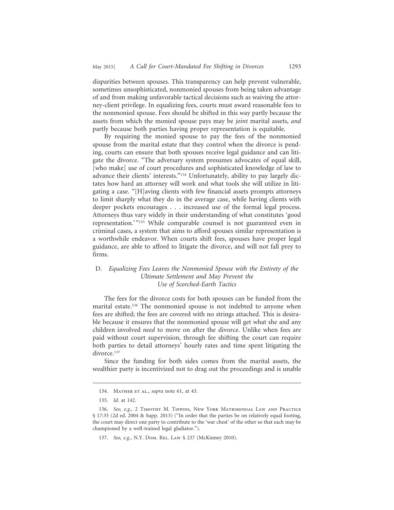disparities between spouses. This transparency can help prevent vulnerable, sometimes unsophisticated, nonmonied spouses from being taken advantage of and from making unfavorable tactical decisions such as waiving the attorney-client privilege. In equalizing fees, courts must award reasonable fees to the nonmonied spouse. Fees should be shifted in this way partly because the assets from which the monied spouse pays may be *joint* marital assets, *and* partly because both parties having proper representation is equitable.

By requiring the monied spouse to pay the fees of the nonmonied spouse from the marital estate that they control when the divorce is pending, courts can ensure that both spouses receive legal guidance and can litigate the divorce. "The adversary system presumes advocates of equal skill, [who make] use of court procedures and sophisticated knowledge of law to advance their clients' interests."134 Unfortunately, ability to pay largely dictates how hard an attorney will work and what tools she will utilize in litigating a case. "[H]aving clients with few financial assets prompts attorneys to limit sharply what they do in the average case, while having clients with deeper pockets encourages . . . increased use of the formal legal process. Attorneys thus vary widely in their understanding of what constitutes 'good representation.'"<sup>135</sup> While comparable counsel is not guaranteed even in criminal cases, a system that aims to afford spouses similar representation is a worthwhile endeavor. When courts shift fees, spouses have proper legal guidance, are able to afford to litigate the divorce, and will not fall prey to firms.

## D. *Equalizing Fees Leaves the Nonmonied Spouse with the Entirety of the Ultimate Settlement and May Prevent the Use of Scorched-Earth Tactics*

The fees for the divorce costs for both spouses can be funded from the marital estate.136 The nonmonied spouse is not indebted to anyone when fees are shifted; the fees are covered with no strings attached. This is desirable because it ensures that the nonmonied spouse will get what she and any children involved *need* to move on after the divorce. Unlike when fees are paid without court supervision, through fee shifting the court can require both parties to detail attorneys' hourly rates and time spent litigating the divorce.<sup>137</sup>

Since the funding for both sides comes from the marital assets, the wealthier party is incentivized not to drag out the proceedings and is unable

<sup>134.</sup> Mather et al., *supra* note 61, at 43.

<sup>135.</sup> *Id.* at 142.

<sup>136.</sup> *See, e.g.*, 2 Timothy M. Tippins, New York Matrimonial Law and Practice § 17:35 (2d ed. 2004 & Supp. 2013) ("In order that the parties be on relatively equal footing, the court may direct one party to contribute to the 'war chest' of the other so that each may be championed by a well-trained legal gladiator.").

<sup>137.</sup> *See, e.g.*, N.Y. Dom. Rel. Law § 237 (McKinney 2010).